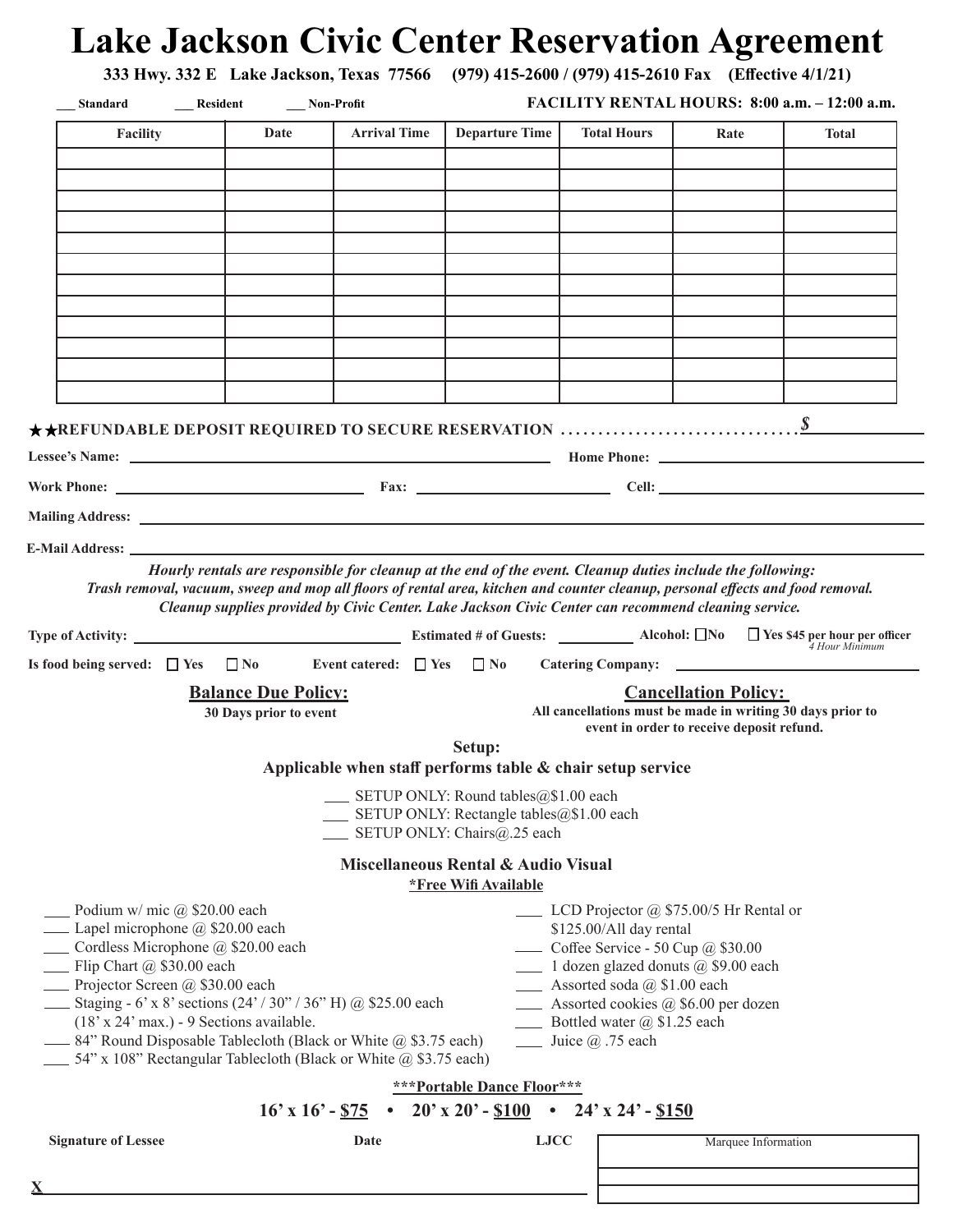| Standard Resident Mon-Profit                                                                                                                                                                                                                                                                                                                                                                |                                                      |                     |                                                                                                                                                                                                                                              | FACILITY RENTAL HOURS: 8:00 a.m. - 12:00 a.m.                                                                                                                                                                                                                                                                                     |                             |                |
|---------------------------------------------------------------------------------------------------------------------------------------------------------------------------------------------------------------------------------------------------------------------------------------------------------------------------------------------------------------------------------------------|------------------------------------------------------|---------------------|----------------------------------------------------------------------------------------------------------------------------------------------------------------------------------------------------------------------------------------------|-----------------------------------------------------------------------------------------------------------------------------------------------------------------------------------------------------------------------------------------------------------------------------------------------------------------------------------|-----------------------------|----------------|
| <b>Facility</b>                                                                                                                                                                                                                                                                                                                                                                             | Date                                                 | <b>Arrival Time</b> | Departure Time                                                                                                                                                                                                                               | <b>Total Hours</b>                                                                                                                                                                                                                                                                                                                | Rate                        | <b>Total</b>   |
|                                                                                                                                                                                                                                                                                                                                                                                             |                                                      |                     |                                                                                                                                                                                                                                              |                                                                                                                                                                                                                                                                                                                                   |                             |                |
|                                                                                                                                                                                                                                                                                                                                                                                             |                                                      |                     |                                                                                                                                                                                                                                              |                                                                                                                                                                                                                                                                                                                                   |                             |                |
|                                                                                                                                                                                                                                                                                                                                                                                             |                                                      |                     |                                                                                                                                                                                                                                              |                                                                                                                                                                                                                                                                                                                                   |                             |                |
|                                                                                                                                                                                                                                                                                                                                                                                             |                                                      |                     |                                                                                                                                                                                                                                              |                                                                                                                                                                                                                                                                                                                                   |                             |                |
|                                                                                                                                                                                                                                                                                                                                                                                             |                                                      |                     |                                                                                                                                                                                                                                              |                                                                                                                                                                                                                                                                                                                                   |                             |                |
|                                                                                                                                                                                                                                                                                                                                                                                             |                                                      |                     |                                                                                                                                                                                                                                              |                                                                                                                                                                                                                                                                                                                                   |                             |                |
|                                                                                                                                                                                                                                                                                                                                                                                             |                                                      |                     |                                                                                                                                                                                                                                              |                                                                                                                                                                                                                                                                                                                                   |                             |                |
|                                                                                                                                                                                                                                                                                                                                                                                             |                                                      |                     |                                                                                                                                                                                                                                              |                                                                                                                                                                                                                                                                                                                                   |                             |                |
|                                                                                                                                                                                                                                                                                                                                                                                             |                                                      |                     |                                                                                                                                                                                                                                              |                                                                                                                                                                                                                                                                                                                                   |                             |                |
|                                                                                                                                                                                                                                                                                                                                                                                             |                                                      |                     |                                                                                                                                                                                                                                              |                                                                                                                                                                                                                                                                                                                                   |                             |                |
| $\star\star$ REFUNDABLE DEPOSIT REQUIRED TO SECURE RESERVATION $\ldots\ldots\ldots\ldots\ldots\ldots\ldots\ldots\ldots\ldots$                                                                                                                                                                                                                                                               |                                                      |                     |                                                                                                                                                                                                                                              |                                                                                                                                                                                                                                                                                                                                   |                             |                |
|                                                                                                                                                                                                                                                                                                                                                                                             |                                                      |                     |                                                                                                                                                                                                                                              |                                                                                                                                                                                                                                                                                                                                   |                             |                |
|                                                                                                                                                                                                                                                                                                                                                                                             |                                                      |                     |                                                                                                                                                                                                                                              |                                                                                                                                                                                                                                                                                                                                   |                             |                |
| Mailing Address: <u>National Address of Address and Address of Address and Address of Address of Address of Address of Address of Address of Address of Address of Address of Address of Address of Address of Address of Addres</u>                                                                                                                                                        |                                                      |                     |                                                                                                                                                                                                                                              |                                                                                                                                                                                                                                                                                                                                   |                             |                |
|                                                                                                                                                                                                                                                                                                                                                                                             |                                                      |                     | Hourly rentals are responsible for cleanup at the end of the event. Cleanup duties include the following:<br>Trash removal, vacuum, sweep and mop all floors of rental area, kitchen and counter cleanup, personal effects and food removal. |                                                                                                                                                                                                                                                                                                                                   |                             |                |
|                                                                                                                                                                                                                                                                                                                                                                                             |                                                      |                     | Cleanup supplies provided by Civic Center. Lake Jackson Civic Center can recommend cleaning service.                                                                                                                                         |                                                                                                                                                                                                                                                                                                                                   |                             | 4 Hour Minimum |
|                                                                                                                                                                                                                                                                                                                                                                                             |                                                      |                     |                                                                                                                                                                                                                                              |                                                                                                                                                                                                                                                                                                                                   |                             |                |
|                                                                                                                                                                                                                                                                                                                                                                                             | <b>Balance Due Policy:</b><br>30 Days prior to event |                     |                                                                                                                                                                                                                                              | All cancellations must be made in writing 30 days prior to<br>event in order to receive deposit refund.                                                                                                                                                                                                                           | <b>Cancellation Policy:</b> |                |
|                                                                                                                                                                                                                                                                                                                                                                                             |                                                      |                     | Setup:<br>Applicable when staff performs table & chair setup service                                                                                                                                                                         |                                                                                                                                                                                                                                                                                                                                   |                             |                |
|                                                                                                                                                                                                                                                                                                                                                                                             |                                                      |                     | SETUP ONLY: Round tables@\$1.00 each<br>SETUP ONLY: Rectangle tables@\$1.00 each<br>SETUP ONLY: Chairs@.25 each                                                                                                                              |                                                                                                                                                                                                                                                                                                                                   |                             |                |
| Type of Activity: <u>New York Constants and Section of Guests:</u> New York Constants and Alcohol: △No △ Yes \$45 per hour per officer<br>Is food being served: $\Box$ Yes $\Box$ No                                                                                                                                                                                                        |                                                      |                     | Miscellaneous Rental & Audio Visual<br><i><b>*Free Wifi Available</b></i>                                                                                                                                                                    |                                                                                                                                                                                                                                                                                                                                   |                             |                |
| Podium w/ mic $(a)$ \$20.00 each<br>$(18' \times 24' \text{ max.})$ - 9 Sections available.                                                                                                                                                                                                                                                                                                 |                                                      |                     |                                                                                                                                                                                                                                              | $\Box$ LCD Projector @ \$75.00/5 Hr Rental or<br>\$125.00/All day rental<br>$\frac{1}{2}$ Coffee Service - 50 Cup @ \$30.00<br>1 dozen glazed donuts @ \$9.00 each<br>___ Assorted soda @ \$1.00 each<br>____ Assorted cookies @ \$6.00 per dozen<br>Bottled water @ \$1.25 each<br>$\frac{1}{\sqrt{2}}$ Juice $\omega$ . 75 each |                             |                |
|                                                                                                                                                                                                                                                                                                                                                                                             |                                                      |                     | <b>***Portable Dance Floor***</b>                                                                                                                                                                                                            |                                                                                                                                                                                                                                                                                                                                   |                             |                |
| Lapel microphone @ \$20.00 each<br>Cordless Microphone @ \$20.00 each<br>$\equiv$ Flip Chart @ \$30.00 each<br>Projector Screen @ \$30.00 each<br><b>Example 18.</b> Staging - 6' x 8' sections $(24' / 30'' / 36''$ H) @ \$25.00 each<br>-84" Round Disposable Tablecloth (Black or White @ \$3.75 each)<br>$\frac{1}{2}$ 54" x 108" Rectangular Tablecloth (Black or White @ \$3.75 each) |                                                      |                     | $16' \times 16' - $75$ • $20' \times 20' - $100$ • $24' \times 24' - $150$                                                                                                                                                                   |                                                                                                                                                                                                                                                                                                                                   |                             |                |

**X**